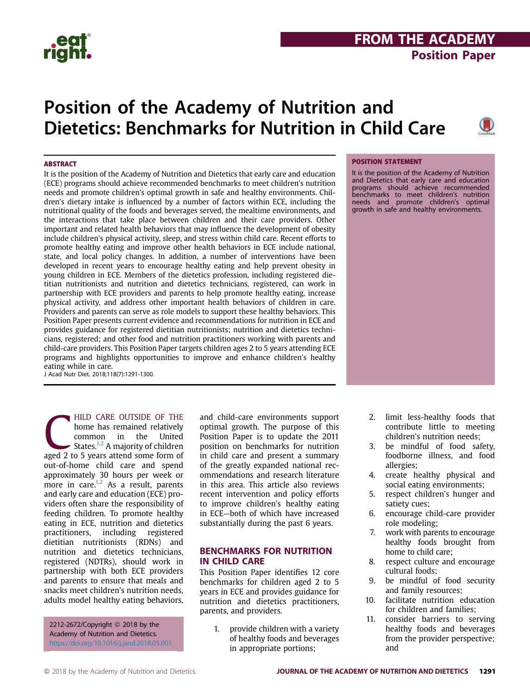# FROM THE ACADEMY Position Paper

# Position of the Academy of Nutrition and Dietetics: Benchmarks for Nutrition in Child Care



#### **ABSTRACT**

It is the position of the Academy of Nutrition and Dietetics that early care and education (ECE) programs should achieve recommended benchmarks to meet children's nutrition needs and promote children's optimal growth in safe and healthy environments. Children's dietary intake is influenced by a number of factors within ECE, including the nutritional quality of the foods and beverages served, the mealtime environments, and the interactions that take place between children and their care providers. Other important and related health behaviors that may influence the development of obesity include children's physical activity, sleep, and stress within child care. Recent efforts to promote healthy eating and improve other health behaviors in ECE include national, state, and local policy changes. In addition, a number of interventions have been developed in recent years to encourage healthy eating and help prevent obesity in young children in ECE. Members of the dietetics profession, including registered dietitian nutritionists and nutrition and dietetics technicians, registered, can work in partnership with ECE providers and parents to help promote healthy eating, increase physical activity, and address other important health behaviors of children in care. Providers and parents can serve as role models to support these healthy behaviors. This Position Paper presents current evidence and recommendations for nutrition in ECE and provides guidance for registered dietitian nutritionists; nutrition and dietetics technicians, registered; and other food and nutrition practitioners working with parents and child-care providers. This Position Paper targets children ages 2 to 5 years attending ECE programs and highlights opportunities to improve and enhance children's healthy eating while in care.

J Acad Nutr Diet. 2018;118(7):1291-1300.

HILD CARE OUTSIDE OF THE<br>
home has remained relatively<br>
common in the United<br>
States.<sup>1,2</sup> A majority of children<br>
aged 2 to 5 years attend some form of home has remained relatively common in the United States.<sup>1,2</sup> A majority of children out-of-home child care and spend approximately 30 hours per week or more in care. $1,2$  As a result, parents and early care and education (ECE) providers often share the responsibility of feeding children. To promote healthy eating in ECE, nutrition and dietetics practitioners, including registered dietitian nutritionists (RDNs) and nutrition and dietetics technicians, registered (NDTRs), should work in partnership with both ECE providers and parents to ensure that meals and snacks meet children's nutrition needs, adults model healthy eating behaviors,

2212-2672/Copyright © 2018 by the Academy of Nutrition and Dietetics. https://doi.org/10.1016/j.jand.2018.05.001 and child-care environments support optimal growth. The purpose of this Position Paper is to update the 2011 position on benchmarks for nutrition in child care and present a summary of the greatly expanded national recommendations and research literature in this area. This article also reviews recent intervention and policy efforts to improve children's healthy eating in ECE—both of which have increased substantially during the past 6 years.

#### BENCHMARKS FOR NUTRITION IN CHILD CARE

This Position Paper identifies 12 core benchmarks for children aged 2 to 5 years in ECE and provides guidance for nutrition and dietetics practitioners, parents, and providers.

> 1. provide children with a variety of healthy foods and beverages in appropriate portions;

#### POSITION STATEMENT

It is the position of the Academy of Nutrition and Dietetics that early care and education programs should achieve recommended benchmarks to meet children's nutrition needs and promote children's optimal growth in safe and healthy environments.

- 2. limit less-healthy foods that contribute little to meeting children's nutrition needs;
- 3. be mindful of food safety, foodborne illness, and food allergies;
- 4. create healthy physical and social eating environments;
- 5. respect children's hunger and satiety cues;
- 6. encourage child-care provider role modeling;
- 7. work with parents to encourage healthy foods brought from home to child care;
- 8. respect culture and encourage cultural foods;
- 9. be mindful of food security and family resources;
- 10. facilitate nutrition education for children and families;
- 11. consider barriers to serving healthy foods and beverages from the provider perspective; and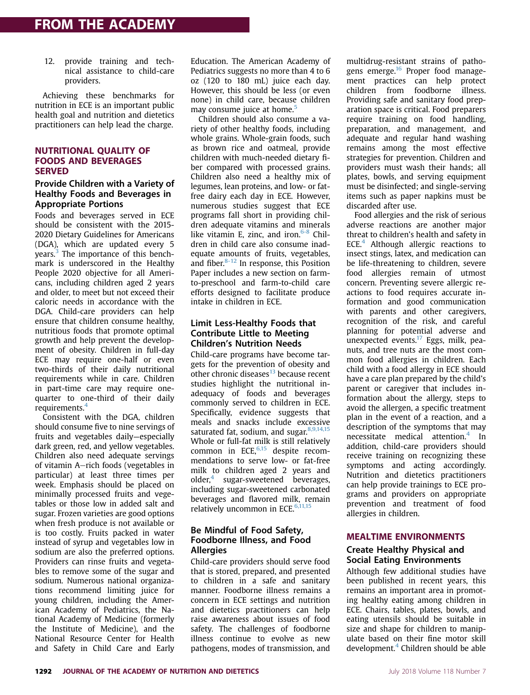12. provide training and technical assistance to child-care providers.

Achieving these benchmarks for nutrition in ECE is an important public health goal and nutrition and dietetics practitioners can help lead the charge.

#### NUTRITIONAL QUALITY OF FOODS AND BEVERAGES SERVED

#### Provide Children with a Variety of Healthy Foods and Beverages in Appropriate Portions

Foods and beverages served in ECE should be consistent with the 2015- 2020 Dietary Guidelines for Americans (DGA), which are updated every 5 years.<sup>3</sup> The importance of this benchmark is underscored in the Healthy People 2020 objective for all Americans, including children aged 2 years and older, to meet but not exceed their caloric needs in accordance with the DGA. Child-care providers can help ensure that children consume healthy, nutritious foods that promote optimal growth and help prevent the development of obesity. Children in full-day ECE may require one-half or even two-thirds of their daily nutritional requirements while in care. Children in part-time care may require onequarter to one-third of their daily requirements.<sup>4</sup>

Consistent with the DGA, children should consume five to nine servings of fruits and vegetables daily—especially dark green, red, and yellow vegetables. Children also need adequate servings of vitamin A-rich foods (vegetables in particular) at least three times per week. Emphasis should be placed on minimally processed fruits and vegetables or those low in added salt and sugar. Frozen varieties are good options when fresh produce is not available or is too costly. Fruits packed in water instead of syrup and vegetables low in sodium are also the preferred options. Providers can rinse fruits and vegetables to remove some of the sugar and sodium. Numerous national organizations recommend limiting juice for young children, including the American Academy of Pediatrics, the National Academy of Medicine (formerly the Institute of Medicine), and the National Resource Center for Health and Safety in Child Care and Early

Education. The American Academy of Pediatrics suggests no more than 4 to 6 oz (120 to 180 mL) juice each day. However, this should be less (or even none) in child care, because children may consume juice at home.<sup>5</sup>

Children should also consume a variety of other healthy foods, including whole grains. Whole-grain foods, such as brown rice and oatmeal, provide children with much-needed dietary fiber compared with processed grains. Children also need a healthy mix of legumes, lean proteins, and low- or fatfree dairy each day in ECE. However, numerous studies suggest that ECE programs fall short in providing children adequate vitamins and minerals like vitamin E, zinc, and iron. $6-8$  Children in child care also consume inadequate amounts of fruits, vegetables, and fiber. $8-12$  In response, this Position Paper includes a new section on farmto-preschool and farm-to-child care efforts designed to facilitate produce intake in children in ECE.

#### Limit Less-Healthy Foods that Contribute Little to Meeting Children's Nutrition Needs

Child-care programs have become targets for the prevention of obesity and other chronic diseases $13$  because recent studies highlight the nutritional inadequacy of foods and beverages commonly served to children in ECE. Specifically, evidence suggests that meals and snacks include excessive saturated fat, sodium, and sugar. $8,9,14,15$ Whole or full-fat milk is still relatively common in ECE, $6,15$  despite recommendations to serve low- or fat-free milk to children aged 2 years and older, $4$  sugar-sweetened beverages, including sugar-sweetened carbonated beverages and flavored milk, remain relatively uncommon in ECE.<sup>6,11,15</sup>

#### Be Mindful of Food Safety, Foodborne Illness, and Food Allergies

Child-care providers should serve food that is stored, prepared, and presented to children in a safe and sanitary manner. Foodborne illness remains a concern in ECE settings and nutrition and dietetics practitioners can help raise awareness about issues of food safety. The challenges of foodborne illness continue to evolve as new pathogens, modes of transmission, and multidrug-resistant strains of pathogens emerge.<sup>16</sup> Proper food management practices can help protect children from foodborne illness. Providing safe and sanitary food preparation space is critical. Food preparers require training on food handling, preparation, and management, and adequate and regular hand washing remains among the most effective strategies for prevention. Children and providers must wash their hands; all plates, bowls, and serving equipment must be disinfected; and single-serving items such as paper napkins must be discarded after use.

Food allergies and the risk of serious adverse reactions are another major threat to children's health and safety in ECE.<sup>4</sup> Although allergic reactions to insect stings, latex, and medication can be life-threatening to children, severe food allergies remain of utmost concern. Preventing severe allergic reactions to food requires accurate information and good communication with parents and other caregivers, recognition of the risk, and careful planning for potential adverse and unexpected events. $17$  Eggs, milk, peanuts, and tree nuts are the most common food allergies in children. Each child with a food allergy in ECE should have a care plan prepared by the child's parent or caregiver that includes information about the allergy, steps to avoid the allergen, a specific treatment plan in the event of a reaction, and a description of the symptoms that may necessitate medical attention.<sup>4</sup> In addition, child-care providers should receive training on recognizing these symptoms and acting accordingly. Nutrition and dietetics practitioners can help provide trainings to ECE programs and providers on appropriate prevention and treatment of food allergies in children.

### MEALTIME ENVIRONMENTS

#### Create Healthy Physical and Social Eating Environments

Although few additional studies have been published in recent years, this remains an important area in promoting healthy eating among children in ECE. Chairs, tables, plates, bowls, and eating utensils should be suitable in size and shape for children to manipulate based on their fine motor skill development. $4$  Children should be able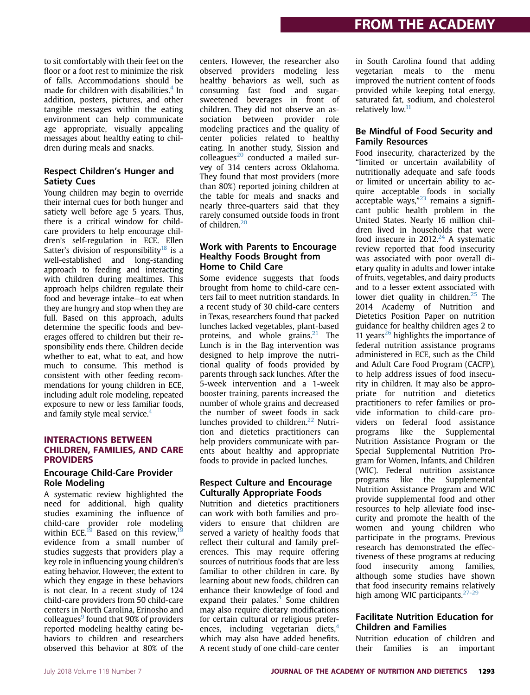to sit comfortably with their feet on the floor or a foot rest to minimize the risk of falls. Accommodations should be made for children with disabilities.<sup>4</sup> In addition, posters, pictures, and other tangible messages within the eating environment can help communicate age appropriate, visually appealing messages about healthy eating to children during meals and snacks.

#### Respect Children's Hunger and Satiety Cues

Young children may begin to override their internal cues for both hunger and satiety well before age 5 years. Thus, there is a critical window for childcare providers to help encourage children's self-regulation in ECE. Ellen Satter's division of responsibility<sup>18</sup> is a well-established and long-standing approach to feeding and interacting with children during mealtimes. This approach helps children regulate their food and beverage intake—to eat when they are hungry and stop when they are full. Based on this approach, adults determine the specific foods and beverages offered to children but their responsibility ends there. Children decide whether to eat, what to eat, and how much to consume. This method is consistent with other feeding recommendations for young children in ECE, including adult role modeling, repeated exposure to new or less familiar foods, and family style meal service. $4$ 

#### INTERACTIONS BETWEEN CHILDREN, FAMILIES, AND CARE PROVIDERS

#### Encourage Child-Care Provider Role Modeling

A systematic review highlighted the need for additional, high quality studies examining the influence of child-care provider role modeling within ECE.<sup>19</sup> Based on this review,<sup>19</sup> evidence from a small number of studies suggests that providers play a key role in influencing young children's eating behavior. However, the extent to which they engage in these behaviors is not clear. In a recent study of 124 child-care providers from 50 child-care centers in North Carolina, Erinosho and colleagues $9$  found that 90% of providers reported modeling healthy eating behaviors to children and researchers observed this behavior at 80% of the

centers. However, the researcher also observed providers modeling less healthy behaviors as well, such as consuming fast food and sugarsweetened beverages in front of children. They did not observe an association between provider role modeling practices and the quality of center policies related to healthy eating. In another study, Sission and  $colleagues<sup>20</sup>$  conducted a mailed survey of 314 centers across Oklahoma. They found that most providers (more than 80%) reported joining children at the table for meals and snacks and nearly three-quarters said that they rarely consumed outside foods in front of children.<sup>20</sup>

#### Work with Parents to Encourage Healthy Foods Brought from Home to Child Care

Some evidence suggests that foods brought from home to child-care centers fail to meet nutrition standards. In a recent study of 30 child-care centers in Texas, researchers found that packed lunches lacked vegetables, plant-based proteins, and whole grains. $21$  The Lunch is in the Bag intervention was designed to help improve the nutritional quality of foods provided by parents through sack lunches. After the 5-week intervention and a 1-week booster training, parents increased the number of whole grains and decreased the number of sweet foods in sack lunches provided to children. $22$  Nutrition and dietetics practitioners can help providers communicate with parents about healthy and appropriate foods to provide in packed lunches.

### Respect Culture and Encourage Culturally Appropriate Foods

Nutrition and dietetics practitioners can work with both families and providers to ensure that children are served a variety of healthy foods that reflect their cultural and family preferences. This may require offering sources of nutritious foods that are less familiar to other children in care. By learning about new foods, children can enhance their knowledge of food and expand their palates. $4$  Some children may also require dietary modifications for certain cultural or religious preferences, including vegetarian diets, $4$ which may also have added benefits. A recent study of one child-care center

in South Carolina found that adding vegetarian meals to the menu improved the nutrient content of foods provided while keeping total energy, saturated fat, sodium, and cholesterol relatively low.<sup>11</sup>

#### Be Mindful of Food Security and Family Resources

Food insecurity, characterized by the "limited or uncertain availability of nutritionally adequate and safe foods or limited or uncertain ability to acquire acceptable foods in socially acceptable ways,"<sup>23</sup> remains a significant public health problem in the United States. Nearly 16 million children lived in households that were food insecure in  $2012<sup>24</sup>$  A systematic review reported that food insecurity was associated with poor overall dietary quality in adults and lower intake of fruits, vegetables, and dairy products and to a lesser extent associated with lower diet quality in children.<sup>25</sup> The 2014 Academy of Nutrition and Dietetics Position Paper on nutrition guidance for healthy children ages 2 to 11 years<sup>26</sup> highlights the importance of federal nutrition assistance programs administered in ECE, such as the Child and Adult Care Food Program (CACFP), to help address issues of food insecurity in children. It may also be appropriate for nutrition and dietetics practitioners to refer families or provide information to child-care providers on federal food assistance programs like the Supplemental Nutrition Assistance Program or the Special Supplemental Nutrition Program for Women, Infants, and Children (WIC). Federal nutrition assistance programs like the Supplemental Nutrition Assistance Program and WIC provide supplemental food and other resources to help alleviate food insecurity and promote the health of the women and young children who participate in the programs. Previous research has demonstrated the effectiveness of these programs at reducing food insecurity among families, although some studies have shown that food insecurity remains relatively high among WIC participants.<sup>27-29</sup>

### Facilitate Nutrition Education for Children and Families

Nutrition education of children and their families is an important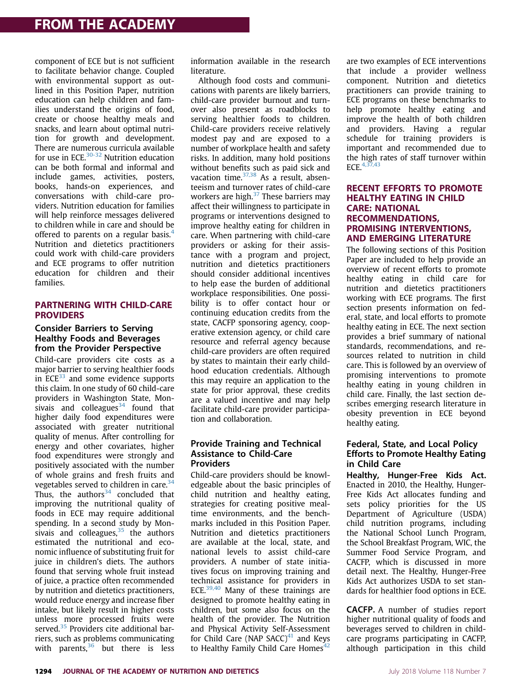component of ECE but is not sufficient to facilitate behavior change. Coupled with environmental support as outlined in this Position Paper, nutrition education can help children and families understand the origins of food, create or choose healthy meals and snacks, and learn about optimal nutrition for growth and development. There are numerous curricula available for use in ECE.<sup>30-32</sup> Nutrition education can be both formal and informal and include games, activities, posters, books, hands-on experiences, and conversations with child-care providers. Nutrition education for families will help reinforce messages delivered to children while in care and should be offered to parents on a regular basis. $4$ Nutrition and dietetics practitioners could work with child-care providers and ECE programs to offer nutrition education for children and their families.

#### PARTNERING WITH CHILD-CARE PROVIDERS

#### Consider Barriers to Serving Healthy Foods and Beverages from the Provider Perspective

Child-care providers cite costs as a major barrier to serving healthier foods in ECE $33$  and some evidence supports this claim. In one study of 60 child-care providers in Washington State, Monsivais and colleagues $34$  found that higher daily food expenditures were associated with greater nutritional quality of menus. After controlling for energy and other covariates, higher food expenditures were strongly and positively associated with the number of whole grains and fresh fruits and vegetables served to children in care. $34$ Thus, the authors $34$  concluded that improving the nutritional quality of foods in ECE may require additional spending. In a second study by Monsivais and colleagues, $35$  the authors estimated the nutritional and economic influence of substituting fruit for juice in children's diets. The authors found that serving whole fruit instead of juice, a practice often recommended by nutrition and dietetics practitioners, would reduce energy and increase fiber intake, but likely result in higher costs unless more processed fruits were served.<sup>35</sup> Providers cite additional barriers, such as problems communicating with parents, $36$  but there is less

information available in the research literature.

Although food costs and communications with parents are likely barriers, child-care provider burnout and turnover also present as roadblocks to serving healthier foods to children. Child-care providers receive relatively modest pay and are exposed to a number of workplace health and safety risks. In addition, many hold positions without benefits such as paid sick and vacation time. $37,38$  As a result, absenteeism and turnover rates of child-care workers are high. $37$  These barriers may affect their willingness to participate in programs or interventions designed to improve healthy eating for children in care. When partnering with child-care providers or asking for their assistance with a program and project, nutrition and dietetics practitioners should consider additional incentives to help ease the burden of additional workplace responsibilities. One possibility is to offer contact hour or continuing education credits from the state, CACFP sponsoring agency, cooperative extension agency, or child care resource and referral agency because child-care providers are often required by states to maintain their early childhood education credentials. Although this may require an application to the state for prior approval, these credits are a valued incentive and may help facilitate child-care provider participation and collaboration.

#### Provide Training and Technical Assistance to Child-Care Providers

Child-care providers should be knowledgeable about the basic principles of child nutrition and healthy eating, strategies for creating positive mealtime environments, and the benchmarks included in this Position Paper. Nutrition and dietetics practitioners are available at the local, state, and national levels to assist child-care providers. A number of state initiatives focus on improving training and technical assistance for providers in ECE. $39,40$  Many of these trainings are designed to promote healthy eating in children, but some also focus on the health of the provider. The Nutrition and Physical Activity Self-Assessment for Child Care (NAP SACC) $41$  and Keys to Healthy Family Child Care Homes $42$ 

are two examples of ECE interventions that include a provider wellness component. Nutrition and dietetics practitioners can provide training to ECE programs on these benchmarks to help promote healthy eating and improve the health of both children and providers. Having a regular schedule for training providers is important and recommended due to the high rates of staff turnover within ECE. $4,37,43$ 

#### RECENT EFFORTS TO PROMOTE HEALTHY EATING IN CHILD CARE: NATIONAL RECOMMENDATIONS, PROMISING INTERVENTIONS, AND EMERGING LITERATURE

The following sections of this Position Paper are included to help provide an overview of recent efforts to promote healthy eating in child care for nutrition and dietetics practitioners working with ECE programs. The first section presents information on federal, state, and local efforts to promote healthy eating in ECE. The next section provides a brief summary of national standards, recommendations, and resources related to nutrition in child care. This is followed by an overview of promising interventions to promote healthy eating in young children in child care. Finally, the last section describes emerging research literature in obesity prevention in ECE beyond healthy eating.

#### Federal, State, and Local Policy Efforts to Promote Healthy Eating in Child Care

Healthy, Hunger-Free Kids Act. Enacted in 2010, the Healthy, Hunger-Free Kids Act allocates funding and sets policy priorities for the US Department of Agriculture (USDA) child nutrition programs, including the National School Lunch Program, the School Breakfast Program, WIC, the Summer Food Service Program, and CACFP, which is discussed in more detail next. The Healthy, Hunger-Free Kids Act authorizes USDA to set standards for healthier food options in ECE.

CACFP. A number of studies report higher nutritional quality of foods and beverages served to children in childcare programs participating in CACFP, although participation in this child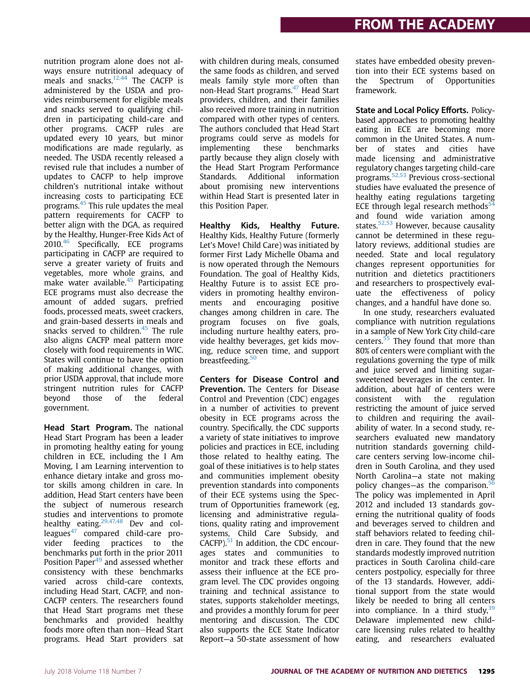nutrition program alone does not always ensure nutritional adequacy of meals and snacks.<sup>12,44</sup> The CACFP is administered by the USDA and provides reimbursement for eligible meals and snacks served to qualifying children in participating child-care and other programs. CACFP rules are updated every 10 years, but minor modifications are made regularly, as needed. The USDA recently released a revised rule that includes a number of updates to CACFP to help improve children's nutritional intake without increasing costs to participating ECE programs.<sup>45</sup> This rule updates the meal pattern requirements for CACFP to better align with the DGA, as required by the Healthy, Hunger-Free Kids Act of 2010.<sup>46</sup> Specifically, ECE programs participating in CACFP are required to serve a greater variety of fruits and vegetables, more whole grains, and make water available. $45$  Participating ECE programs must also decrease the amount of added sugars, prefried foods, processed meats, sweet crackers, and grain-based desserts in meals and snacks served to children.<sup>45</sup> The rule also aligns CACFP meal pattern more closely with food requirements in WIC. States will continue to have the option of making additional changes, with prior USDA approval, that include more stringent nutrition rules for CACFP beyond those of the federal government.

Head Start Program. The national Head Start Program has been a leader in promoting healthy eating for young children in ECE, including the I Am Moving, I am Learning intervention to enhance dietary intake and gross motor skills among children in care. In addition, Head Start centers have been the subject of numerous research studies and interventions to promote healthy eating. $29,47,48$  Dev and colleagues $47$  compared child-care provider feeding practices to the benchmarks put forth in the prior 2011 Position Paper<sup>49</sup> and assessed whether consistency with these benchmarks varied across child-care contexts, including Head Start, CACFP, and non-CACFP centers. The researchers found that Head Start programs met these benchmarks and provided healthy foods more often than non-Head Start programs. Head Start providers sat

with children during meals, consumed the same foods as children, and served meals family style more often than non-Head Start programs.<sup>47</sup> Head Start providers, children, and their families also received more training in nutrition compared with other types of centers. The authors concluded that Head Start programs could serve as models for implementing these benchmarks partly because they align closely with the Head Start Program Performance Standards. Additional information about promising new interventions within Head Start is presented later in this Position Paper.

Healthy Kids, Healthy Future. Healthy Kids, Healthy Future (formerly Let's Move! Child Care) was initiated by former First Lady Michelle Obama and is now operated through the Nemours Foundation. The goal of Healthy Kids, Healthy Future is to assist ECE providers in promoting healthy environments and encouraging positive changes among children in care. The program focuses on five goals, including nurture healthy eaters, provide healthy beverages, get kids moving, reduce screen time, and support breastfeeding.<sup>50</sup>

Centers for Disease Control and Prevention. The Centers for Disease Control and Prevention (CDC) engages in a number of activities to prevent obesity in ECE programs across the country. Specifically, the CDC supports a variety of state initiatives to improve policies and practices in ECE, including those related to healthy eating. The goal of these initiatives is to help states and communities implement obesity prevention standards into components of their ECE systems using the Spectrum of Opportunities framework (eg, licensing and administrative regulations, quality rating and improvement systems, Child Care Subsidy, and CACFP).<sup>51</sup> In addition, the CDC encourages states and communities to monitor and track these efforts and assess their influence at the ECE program level. The CDC provides ongoing training and technical assistance to states, supports stakeholder meetings, and provides a monthly forum for peer mentoring and discussion. The CDC also supports the ECE State Indicator Report—a 50-state assessment of how

states have embedded obesity prevention into their ECE systems based on the Spectrum of Opportunities framework.

State and Local Policy Efforts. Policybased approaches to promoting healthy eating in ECE are becoming more common in the United States. A number of states and cities have made licensing and administrative regulatory changes targeting child-care programs.52,53 Previous cross-sectional studies have evaluated the presence of healthy eating regulations targeting ECE through legal research methods $54$ and found wide variation among states. $52,53$  However, because causality cannot be determined in these regulatory reviews, additional studies are needed. State and local regulatory changes represent opportunities for nutrition and dietetics practitioners and researchers to prospectively evaluate the effectiveness of policy changes, and a handful have done so.

In one study, researchers evaluated compliance with nutrition regulations in a sample of New York City child-care centers.55 They found that more than 80% of centers were compliant with the regulations governing the type of milk and juice served and limiting sugarsweetened beverages in the center. In addition, about half of centers were consistent with the regulation restricting the amount of juice served to children and requiring the availability of water. In a second study, researchers evaluated new mandatory nutrition standards governing childcare centers serving low-income children in South Carolina, and they used North Carolina—a state not making policy changes—as the comparison.<sup>56</sup> The policy was implemented in April 2012 and included 13 standards governing the nutritional quality of foods and beverages served to children and staff behaviors related to feeding children in care. They found that the new standards modestly improved nutrition practices in South Carolina child-care centers postpolicy, especially for three of the 13 standards. However, additional support from the state would likely be needed to bring all centers into compliance. In a third study,  $39$ Delaware implemented new childcare licensing rules related to healthy eating, and researchers evaluated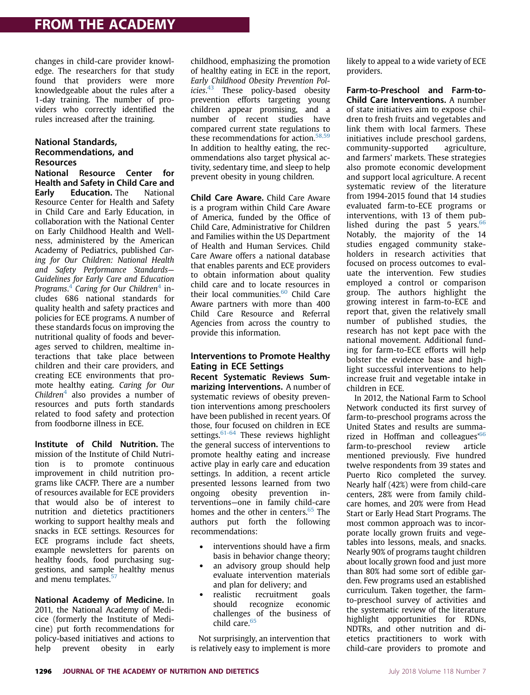changes in child-care provider knowledge. The researchers for that study found that providers were more knowledgeable about the rules after a 1-day training. The number of providers who correctly identified the rules increased after the training.

#### National Standards, Recommendations, and Resources

National Resource Center for Health and Safety in Child Care and Early Education. The National Resource Center for Health and Safety in Child Care and Early Education, in collaboration with the National Center on Early Childhood Health and Wellness, administered by the American Academy of Pediatrics, published Caring for Our Children: National Health and Safety Performance Standards— Guidelines for Early Care and Education Programs.<sup>4</sup> Caring for Our Children<sup>4</sup> includes 686 national standards for quality health and safety practices and policies for ECE programs. A number of these standards focus on improving the nutritional quality of foods and beverages served to children, mealtime interactions that take place between children and their care providers, and creating ECE environments that promote healthy eating. Caring for Our Children<sup>4</sup> also provides a number of resources and puts forth standards related to food safety and protection from foodborne illness in ECE.

Institute of Child Nutrition. The mission of the Institute of Child Nutrition is to promote continuous improvement in child nutrition programs like CACFP. There are a number of resources available for ECE providers that would also be of interest to nutrition and dietetics practitioners working to support healthy meals and snacks in ECE settings. Resources for ECE programs include fact sheets, example newsletters for parents on healthy foods, food purchasing suggestions, and sample healthy menus and menu templates.<sup>57</sup>

National Academy of Medicine. In 2011, the National Academy of Medicice (formerly the Institute of Medicine) put forth recommendations for policy-based initiatives and actions to help prevent obesity in early childhood, emphasizing the promotion of healthy eating in ECE in the report, Early Childhood Obesity Prevention Policies.<sup>43</sup> These policy-based obesity prevention efforts targeting young children appear promising, and a number of recent studies have compared current state regulations to these recommendations for action.<sup>58,59</sup> In addition to healthy eating, the recommendations also target physical activity, sedentary time, and sleep to help prevent obesity in young children.

Child Care Aware. Child Care Aware is a program within Child Care Aware of America, funded by the Office of Child Care, Administrative for Children and Families within the US Department of Health and Human Services. Child Care Aware offers a national database that enables parents and ECE providers to obtain information about quality child care and to locate resources in their local communities. $60$  Child Care Aware partners with more than 400 Child Care Resource and Referral Agencies from across the country to provide this information.

#### Interventions to Promote Healthy Eating in ECE Settings

Recent Systematic Reviews Summarizing Interventions. A number of systematic reviews of obesity prevention interventions among preschoolers have been published in recent years. Of those, four focused on children in ECE settings. $61-64$  These reviews highlight the general success of interventions to promote healthy eating and increase active play in early care and education settings. In addition, a recent article presented lessons learned from two ongoing obesity prevention interventions—one in family child-care homes and the other in centers.<sup>65</sup> The authors put forth the following recommendations:

- interventions should have a firm basis in behavior change theory;
- an advisory group should help evaluate intervention materials and plan for delivery; and
- realistic recruitment goals should recognize economic challenges of the business of child care.<sup>65</sup>

Not surprisingly, an intervention that is relatively easy to implement is more likely to appeal to a wide variety of ECE providers.

Farm-to-Preschool and Farm-to-Child Care Interventions. A number of state initiatives aim to expose children to fresh fruits and vegetables and link them with local farmers. These initiatives include preschool gardens, community-supported agriculture, and farmers' markets. These strategies also promote economic development and support local agriculture. A recent systematic review of the literature from 1994-2015 found that 14 studies evaluated farm-to-ECE programs or interventions, with 13 of them published during the past 5 years. $66$ Notably, the majority of the 14 studies engaged community stakeholders in research activities that focused on process outcomes to evaluate the intervention. Few studies employed a control or comparison group. The authors highlight the growing interest in farm-to-ECE and report that, given the relatively small number of published studies, the research has not kept pace with the national movement. Additional funding for farm-to-ECE efforts will help bolster the evidence base and highlight successful interventions to help increase fruit and vegetable intake in children in ECE.

In 2012, the National Farm to School Network conducted its first survey of farm-to-preschool programs across the United States and results are summarized in Hoffman and colleagues'<sup>66</sup> farm-to-preschool review article mentioned previously. Five hundred twelve respondents from 39 states and Puerto Rico completed the survey. Nearly half (42%) were from child-care centers, 28% were from family childcare homes, and 20% were from Head Start or Early Head Start Programs. The most common approach was to incorporate locally grown fruits and vegetables into lessons, meals, and snacks. Nearly 90% of programs taught children about locally grown food and just more than 80% had some sort of edible garden. Few programs used an established curriculum. Taken together, the farmto-preschool survey of activities and the systematic review of the literature highlight opportunities for RDNs, NDTRs, and other nutrition and dietetics practitioners to work with child-care providers to promote and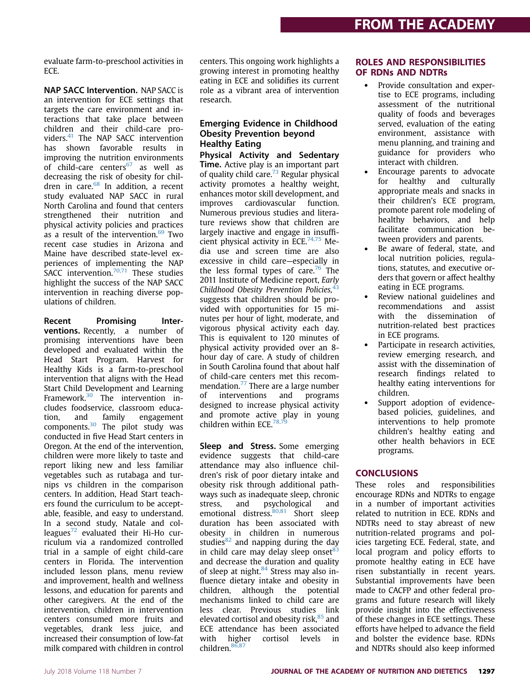evaluate farm-to-preschool activities in ECE.

NAP SACC Intervention. NAP SACC is an intervention for ECE settings that targets the care environment and interactions that take place between children and their child-care providers.<sup>41</sup> The NAP SACC intervention has shown favorable results in improving the nutrition environments of child-care centers $67$  as well as decreasing the risk of obesity for children in care.<sup>68</sup> In addition, a recent study evaluated NAP SACC in rural North Carolina and found that centers strengthened their nutrition and physical activity policies and practices as a result of the intervention. $69$  Two recent case studies in Arizona and Maine have described state-level experiences of implementing the NAP SACC intervention.<sup>70,71</sup> These studies highlight the success of the NAP SACC intervention in reaching diverse populations of children.

Recent Promising Interventions. Recently, a number of promising interventions have been developed and evaluated within the Head Start Program. Harvest for Healthy Kids is a farm-to-preschool intervention that aligns with the Head Start Child Development and Learning Framework.<sup>30</sup> The intervention includes foodservice, classroom education, and family engagement components.<sup>30</sup> The pilot study was conducted in five Head Start centers in Oregon. At the end of the intervention, children were more likely to taste and report liking new and less familiar vegetables such as rutabaga and turnips vs children in the comparison centers. In addition, Head Start teachers found the curriculum to be acceptable, feasible, and easy to understand. In a second study, Natale and colleagues<sup>72</sup> evaluated their Hi-Ho curriculum via a randomized controlled trial in a sample of eight child-care centers in Florida. The intervention included lesson plans, menu review and improvement, health and wellness lessons, and education for parents and other caregivers. At the end of the intervention, children in intervention centers consumed more fruits and vegetables, drank less juice, and increased their consumption of low-fat milk compared with children in control

centers. This ongoing work highlights a growing interest in promoting healthy eating in ECE and solidifies its current role as a vibrant area of intervention research.

#### Emerging Evidence in Childhood Obesity Prevention beyond Healthy Eating

Physical Activity and Sedentary Time. Active play is an important part of quality child care. $73$  Regular physical activity promotes a healthy weight, enhances motor skill development, and improves cardiovascular function. Numerous previous studies and literature reviews show that children are largely inactive and engage in insufficient physical activity in ECE. $74,75$  Media use and screen time are also excessive in child care—especially in the less formal types of care.<sup>76</sup> The 2011 Institute of Medicine report, Early Childhood Obesity Prevention Policies.<sup>4</sup> suggests that children should be provided with opportunities for 15 minutes per hour of light, moderate, and vigorous physical activity each day. This is equivalent to 120 minutes of physical activity provided over an 8 hour day of care. A study of children in South Carolina found that about half of child-care centers met this recommendation.<sup>77</sup> There are a large number of interventions and programs designed to increase physical activity and promote active play in young children within ECE.<sup>78,7</sup>

Sleep and Stress. Some emerging evidence suggests that child-care attendance may also influence children's risk of poor dietary intake and obesity risk through additional pathways such as inadequate sleep, chronic<br>stress, and psychological and stress, and psychological and emotional distress. $80,81$  Short sleep duration has been associated with obesity in children in numerous studies<sup>82</sup> and napping during the day in child care may delay sleep onset $83$ and decrease the duration and quality of sleep at night. $84$  Stress may also influence dietary intake and obesity in children, although the potential mechanisms linked to child care are less clear. Previous studies link elevated cortisol and obesity risk.<sup>85</sup> and ECE attendance has been associated with higher cortisol levels in children. 86,87

#### ROLES AND RESPONSIBILITIES OF RDNs AND NDTRs

- Provide consultation and expertise to ECE programs, including assessment of the nutritional quality of foods and beverages served, evaluation of the eating environment, assistance with menu planning, and training and guidance for providers who interact with children.
- Encourage parents to advocate<br>for healthy and culturally healthy and culturally appropriate meals and snacks in their children's ECE program, promote parent role modeling of healthy behaviors, and help facilitate communication between providers and parents.
- Be aware of federal, state, and local nutrition policies, regulations, statutes, and executive orders that govern or affect healthy eating in ECE programs.
- Review national guidelines and recommendations and assist with the dissemination of nutrition-related best practices in ECE programs.
- Participate in research activities, review emerging research, and assist with the dissemination of research findings related to healthy eating interventions for children.
- Support adoption of evidencebased policies, guidelines, and interventions to help promote children's healthy eating and other health behaviors in ECE programs.

### **CONCLUSIONS**

These roles and responsibilities encourage RDNs and NDTRs to engage in a number of important activities related to nutrition in ECE. RDNs and NDTRs need to stay abreast of new nutrition-related programs and policies targeting ECE. Federal, state, and local program and policy efforts to promote healthy eating in ECE have risen substantially in recent years. Substantial improvements have been made to CACFP and other federal programs and future research will likely provide insight into the effectiveness of these changes in ECE settings. These efforts have helped to advance the field and bolster the evidence base. RDNs and NDTRs should also keep informed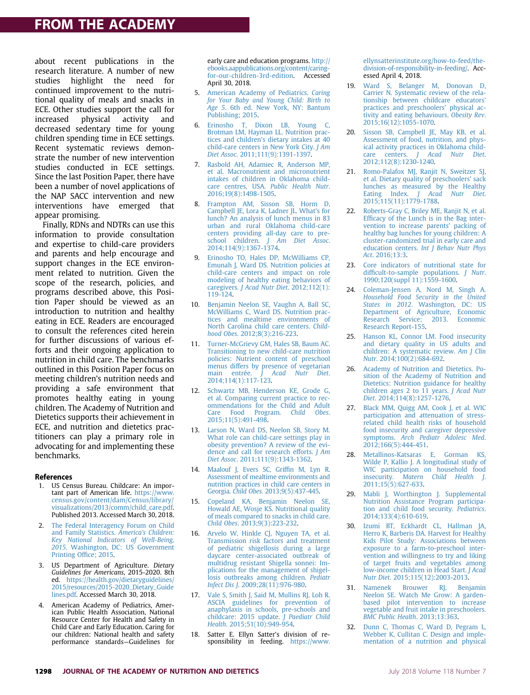# FROM THE ACADEMY

about recent publications in the research literature. A number of new studies highlight the need for continued improvement to the nutritional quality of meals and snacks in ECE. Other studies support the call for increased physical activity and decreased sedentary time for young children spending time in ECE settings. Recent systematic reviews demonstrate the number of new intervention studies conducted in ECE settings. Since the last Position Paper, there have been a number of novel applications of the NAP SACC intervention and new interventions have emerged that appear promising.

Finally, RDNs and NDTRs can use this information to provide consultation and expertise to child-care providers and parents and help encourage and support changes in the ECE environment related to nutrition. Given the scope of the research, policies, and programs described above, this Position Paper should be viewed as an introduction to nutrition and healthy eating in ECE. Readers are encouraged to consult the references cited herein for further discussions of various efforts and their ongoing application to nutrition in child care. The benchmarks outlined in this Position Paper focus on meeting children's nutrition needs and providing a safe environment that promotes healthy eating in young children. The Academy of Nutrition and Dietetics supports their achievement in ECE, and nutrition and dietetics practitioners can play a primary role in advocating for and implementing these benchmarks.

#### **References**

- 1. US Census Bureau. Childcare: An important part of American life. https://www. census.gov/content/dam/Census/library/ visualizations/2013/comm/child\_care.pdf. Published 2013. Accessed March 30, 2018.
- 2. The Federal Interagency Forum on Child and Family Statistics. America's Children: Key National Indicators of Well-Being, 2015. Washington, DC: US Government Printing Office; 2015.
- 3. US Department of Agriculture. Dietary Guidelines for Americans, 2015-2020. 8th ed. https://health.gov/dietaryguidelines/ 2015/resources/2015-2020\_Dietary\_Guide lines.pdf. Accessed March 30, 2018.
- 4. American Academy of Pediatrics, American Public Health Association, National Resource Center for Health and Safety in Child Care and Early Education. Caring for our children: National health and safety performance standards—Guidelines for

early care and education programs. http:// ebooks.aappublications.org/content/caringfor-our-children-3rd-edition. Accessed April 30, 2018.

- 5. American Academy of Pediatrics. Caring for Your Baby and Young Child: Birth to Age 5. 6th ed. New York, NY: Bantum Publishing; 2015.
- 6. Erinosho T, Dixon LB, Young C, Brotman LM, Hayman LL. Nutrition practices and children's dietary intakes at 40 child-care centers in New York City. J Am Diet Assoc. 2011;111(9):1391-1397.
- 7. Rasbold AH, Adamiec R, Anderson MP, et al. Macronutrient and micronutrient intakes of children in Oklahoma childcare centres, USA. Public Health Nutr. 2016;19(8):1498-1505.
- 8. Frampton AM, Sisson SB, Horm D, Campbell JE, Lora K, Ladner JL, What's for lunch? An analysis of lunch menus in 83 urban and rural Oklahoma child-care centers providing all-day care to pre-<br>school children. J Am Diet Assoc. children. J Am Diet Assoc. 2014;114(9):1367-1374.
- 9. Erinosho TO, Hales DP, McWilliams CP, Emunah J, Ward DS. Nutrition policies at child-care centers and impact on role modeling of healthy eating behaviors of caregivers. J Acad Nutr Diet. 2012;112(1): 119-124.
- 10. Benjamin Neelon SE, Vaughn A, Ball SC, McWilliams C, Ward DS. Nutrition practices and mealtime environments of North Carolina child care centers. Childhood Obes. 2012;8(3):216-223.
- 11. Turner-McGrievy GM, Hales SB, Baum AC. Transitioning to new child-care nutrition policies: Nutrient content of preschool menus differs by presence of vegetarian main entrée. *j* Acad Nutr Diet. 2014;114(1):117-123.
- 12. Schwartz MB, Henderson KE, Grode G, et al. Comparing current practice to recommendations for the Child and Adult Care Food Program. Child Obes. 2015;11(5):491-498.
- 13. Larson N, Ward DS, Neelon SB, Story M. What role can child-care settings play in obesity prevention? A review of the evidence and call for research efforts. J Am Diet Assoc. 2011;111(9):1343-1362.
- 14. Maalouf J, Evers SC, Griffin M, Lyn R. Assessment of mealtime environments and nutrition practices in child care centers in Georgia. Child Obes. 2013;9(5):437-445.
- 15. Copeland KA, Benjamin Neelon SE, Howald AE, Wosje KS. Nutritional quality of meals compared to snacks in child care. Child Obes. 2013;9(3):223-232.
- 16. Arvelo W, Hinkle CJ, Nguyen TA, et al. Transmission risk factors and treatment of pediatric shigellosis during a large daycare center-associated outbreak of multidrug resistant Shigella sonnei: Implications for the management of shigellosis outbreaks among children. Pediatr Infect Dis J. 2009;28(11):976-980.
- 17. Vale S, Smith J, Said M, Mullins RJ, Loh R. ASCIA guidelines for prevention of anaphylaxis in schools, pre-schools and childcare: 2015 update. J Paediatr Child Health. 2015;51(10):949-954.
- 18. Satter E. Ellyn Satter's division of responsibility in feeding. https://www.

ellynsatterinstitute.org/how-to-feed/thedivision-of-responsibility-in-feeding/. Accessed April 4, 2018.

- 19. Ward S, Belanger M, Donovan D, Carrier N. Systematic review of the relationship between childcare educators' practices and preschoolers' physical activity and eating behaviours. Obesity Rev. 2015;16(12):1055-1070.
- 20. Sisson SB, Campbell JE, May KB, et al. Assessment of food, nutrition, and physical activity practices in Oklahoma childcare centers. J Acad Nutr Diet. 2012;112(8):1230-1240.
- 21. Romo-Palafox MJ, Ranjit N, Sweitzer SJ, et al. Dietary quality of preschoolers' sack lunches as measured by the Healthy Eating Index. J Acad Nutr Diet. 2015;115(11):1779-1788.
- 22. Roberts-Gray C, Briley ME, Ranjit N, et al. Efficacy of the Lunch is in the Bag intervention to increase parents' packing of healthy bag lunches for young children: A cluster-randomized trial in early care and education centers. Int J Behav Nutr Phys Act. 2016;13:3.
- 23. Core indicators of nutritional state for difficult-to-sample populations. J Nutr. 1990;120(suppl 11):1559-1600.
- 24. Coleman-Jensen A, Nord M, Singh A. Household Food Security in the United States in 2012. Washington, DC: US Department of Agriculture, Economic Research Service; 2013. Economic Research Report-155.
- 25. Hanson KL, Connor LM. Food insecurity and dietary quality in US adults and children: A systematic review. Am J Clin Nutr. 2014;100(2):684-692.
- 26. Academy of Nutrition and Dietetics. Position of the Academy of Nutrition and Dietetics: Nutrition guidance for healthy children ages  $2$  to  $11$  years. J Acad Nutr Diet. 2014;114(8):1257-1276.
- 27. Black MM, Quigg AM, Cook J, et al. WIC participation and attenuation of stressrelated child health risks of household food insecurity and caregiver depressive symptoms. Arch Pediatr Adolesc Med. 2012;166(5):444-451.
- 28. Metallinos-Katsaras E, Gorman KS, Wilde P, Kallio J. A longitudinal study of WIC participation on household food<br>insecurity. Matern Child Health I. Matern Child Health J. 2011;15(5):627-633.
- 29. Mabli J, Worthington J. Supplemental Nutrition Assistance Program participation and child food security. Pediatrics. 2014;133(4):610-619.
- 30. Izumi BT, Eckhardt CL, Hallman JA, Herro K, Barberis DA. Harvest for Healthy Kids Pilot Study: Associations between exposure to a farm-to-preschool intervention and willingness to try and liking of target fruits and vegetables among low-income children in Head Start. J Acad Nutr Diet. 2015;115(12):2003-2013.
- 31. Namenek Brouwer RJ, Benjamin Neelon SE. Watch Me Grow: A gardenbased pilot intervention to increase vegetable and fruit intake in preschoolers. BMC Public Health. 2013;13:363.
- 32. Dunn C, Thomas C, Ward D, Pegram L, Webber K, Cullitan C. Design and implementation of a nutrition and physical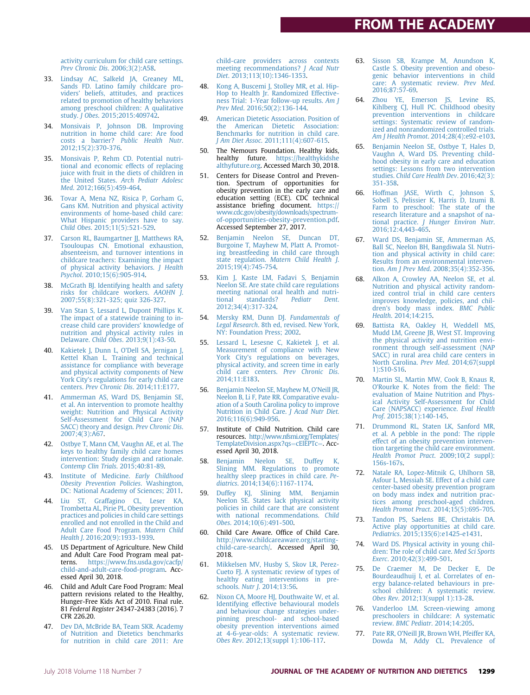# FROM THE ACADEMY

activity curriculum for child care settings. Prev Chronic Dis. 2006;3(2):A58.

- 33. Lindsay AC, Salkeld JA, Greaney ML, Sands FD. Latino family childcare providers' beliefs, attitudes, and practices related to promotion of healthy behaviors among preschool children: A qualitative study. J Obes. 2015;2015:409742.
- 34. Monsivais P, Johnson DB. Improving nutrition in home child care: Are food costs a barrier? Public Health Nutr. 2012;15(2):370-376.
- 35. Monsivais P, Rehm CD. Potential nutritional and economic effects of replacing juice with fruit in the diets of children in the United States. Arch Pediatr Adolesc Med. 2012;166(5):459-464.
- 36. Tovar A, Mena NZ, Risica P, Gorham G, Gans KM. Nutrition and physical activity environments of home-based child care: What Hispanic providers have to say. Child Obes. 2015;11(5):521-529.
- 37. Carson RL, Baumgartner JJ, Matthews RA, Tsouloupas CN. Emotional exhaustion, absenteeism, and turnover intentions in childcare teachers: Examining the impact of physical activity behaviors. J Health Psychol. 2010;15(6):905-914.
- 38. McGrath BJ. Identifying health and safety risks for childcare workers. AAOHN J. 2007;55(8):321-325; quiz 326-327.
- 39. Van Stan S, Lessard L, Dupont Phillips K. The impact of a statewide training to increase child care providers' knowledge of nutrition and physical activity rules in Delaware. Child Obes. 2013;9(1):43-50.
- 40. Kakietek J, Dunn L, O'Dell SA, Jernigan J, Kettel Khan L. Training and technical assistance for compliance with beverage and physical activity components of New York City's regulations for early child care centers. Prev Chronic Dis. 2014;11:E177.
- 41. Ammerman AS, Ward DS, Benjamin SE, et al. An intervention to promote healthy weight: Nutrition and Physical Activity Self-Assessment for Child Care (NAP SACC) theory and design. Prev Chronic Dis. 2007;4(3):A67.
- 42. Ostbye T, Mann CM, Vaughn AE, et al. The keys to healthy family child care homes intervention: Study design and rationale. Contemp Clin Trials. 2015;40:81-89.
- 43. Institute of Medicine. Early Childhood Obesity Prevention Policies. Washington, DC: National Academy of Sciences; 2011.
- 44. Liu ST, Graffagino CL, Leser KA, Trombetta AL, Pirie PL. Obesity prevention practices and policies in child care settings enrolled and not enrolled in the Child and Adult Care Food Program. Matern Child Health J. 2016;20(9):1933-1939.
- 45. US Department of Agriculture. New Child and Adult Care Food Program meal patterns. https://www.fns.usda.gov/cacfp/ child-and-adult-care-food-program. Accessed April 30, 2018.
- 46. Child and Adult Care Food Program: Meal pattern revisions related to the Healthy, Hunger-Free Kids Act of 2010. Final rule. 81 Federal Register 24347-24383 (2016). 7 CFR 226.20.
- 47. Dev DA, McBride BA, Team SKR. Academy of Nutrition and Dietetics benchmarks for nutrition in child care 2011: Are

child-care providers across contexts meeting recommendations? J Acad Nutr Diet. 2013;113(10):1346-1353.

- 48. Kong A, Buscemi J, Stolley MR, et al. Hip-Hop to Health Jr. Randomized Effectiveness Trial: 1-Year follow-up results. Am J Prev Med. 2016;50(2):136-144.
- 49. American Dietetic Association. Position of the American Dietetic Association: Benchmarks for nutrition in child care. J Am Diet Assoc. 2011;111(4):607-615.
- 50. The Nemours Foundation. Healthy kids, healthy future. https://healthykidshe althyfuture.org. Accessed March 30, 2018.
- 51. Centers for Disease Control and Prevention. Spectrum of opportunities for obesity prevention in the early care and education setting (ECE). CDC technical assistance briefing document. https:// www.cdc.gov/obesity/downloads/spectrumof-opportunities-obesity-prevention.pdf. Accessed September 27, 2017.
- 52. Benjamin Neelon SE, Duncan DT, Burgoine T, Mayhew M, Platt A. Promoting breastfeeding in child care through state regulation. Matern Child Health J. 2015;19(4):745-754.
- 53. Kim J, Kaste LM, Fadavi S, Benjamin Neelon SE. Are state child care regulations meeting national oral health and nutri-<br>tional standards? Pediatr Dent. tional standards? Pediatr Dent. 2012;34(4):317-324.
- 54. Mersky RM, Dunn DJ. Fundamentals of Legal Research. 8th ed, revised. New York, NY: Foundation Press; 2002.
- 55. Lessard L, Lesesne C, Kakietek J, et al. Measurement of compliance with New York City's regulations on beverages, physical activity, and screen time in early child care centers. Prev Chronic Dis. 2014;11:E183.
- 56. Benjamin Neelon SE, Mayhew M, O'Neill JR, Neelon B, Li F, Pate RR. Comparative evaluation of a South Carolina policy to improve Nutrition in Child Care. J Acad Nutr Diet. 2016;116(6):949-956.
- 57. Institute of Child Nutrition. Child care resources. http://www.nfsmi.org/Templates/ TemplateDivision.aspx?qs=cElEPTc=. Accessed April 30, 2018.
- 58. Benjamin Neelon SE, Duffey K, Slining MM. Regulations to promote healthy sleep practices in child care. Pe-diatrics. 2014;134(6):1167-1174.
- 59. Duffey KJ, Slining MM, Benjamin Neelon SE. States lack physical activity policies in child care that are consistent with national recommendations. Child Obes. 2014;10(6):491-500.
- Child Care Aware. Office of Child Care. http://www.childcareaware.org/startingchild-care-search/. Accessed April 30, 2018.
- 61. Mikkelsen MV, Husby S, Skov LR, Perez-Cueto FJ. A systematic review of types of healthy eating interventions in pre-schools. Nutr J. 2014;13:56.
- 62. Nixon CA, Moore HJ, Douthwaite W, et al. Identifying effective behavioural models and behaviour change strategies underpinning preschool- and school-based obesity prevention interventions aimed at 4-6-year-olds: A systematic review. Obes Rev. 2012;13(suppl 1):106-117.
- 63. Sisson SB, Krampe M, Anundson K, Castle S. Obesity prevention and obesogenic behavior interventions in child care: A systematic review. Prev Med. 2016;87:57-69.
- 64. Zhou YE, Emerson JS, Levine RS, Kihlberg CJ, Hull PC. Childhood obesity prevention interventions in childcare settings: Systematic review of randomized and nonrandomized controlled trials. Am J Health Promot. 2014;28(4):e92-e103.
- 65. Benjamin Neelon SE, Ostbye T, Hales D, Vaughn A, Ward DS. Preventing childhood obesity in early care and education settings: Lessons from two intervention studies. Child Care Health Dev. 2016;42(3): 351-358.
- 66. Hoffman JASE, Wirth C, Johnson S, Sobell S, Pelissier K, Harris D, Izumi B. Farm to preschool: The state of the research literature and a snapshot of national practice. J Hunger Environ Nutr. 2016;12:4,443-465.
- 67. Ward DS, Benjamin SE, Ammerman AS, Ball SC, Neelon BH, Bangdiwala SI. Nutrition and physical activity in child care: Results from an environmental intervention. Am J Prev Med. 2008;35(4):352-356.
- 68. Alkon A, Crowley AA, Neelon SE, et al. Nutrition and physical activity randomized control trial in child care centers improves knowledge, policies, and children's body mass index. BMC Public Health. 2014;14:215.
- 69. Battista RA, Oakley H, Weddell MS, Mudd LM, Greene JB, West ST. Improving the physical activity and nutrition environment through self-assessment (NAP SACC) in rural area child care centers in North Carolina. Prev Med. 2014;67(suppl 1):S10-S16.
- 70. Martin SL, Martin MW, Cook B, Knaus R, O'Rourke K. Notes from the field: The evaluation of Maine Nutrition and Physical Activity Self-Assessment for Child Care (NAPSACC) experience. Eval Health Prof. 2015;38(1):140-145.
- 71. Drummond RL, Staten LK, Sanford MR, et al. A pebble in the pond: The ripple effect of an obesity prevention intervention targeting the child care environment. Health Promot Pract. 2009;10(2 suppl): 156s-167s.
- 72. Natale RA, Lopez-Mitnik G, Uhlhorn SB, Asfour L, Messiah SE. Effect of a child care center-based obesity prevention program on body mass index and nutrition practices among preschool-aged children. Health Promot Pract. 2014;15(5):695-705.
- 73. Tandon PS, Saelens BE, Christakis DA. Active play opportunities at child care. Pediatrics. 2015;135(6):e1425-e1431.
- 74. Ward DS. Physical activity in young children: The role of child care. Med Sci Sports Exerc. 2010;42(3):499-501.
- 75. De Craemer M, De Decker E, De Bourdeaudhuij I, et al. Correlates of energy balance-related behaviours in preschool children: A systematic review. Obes Rev. 2012;13(suppl 1):13-28.
- 76. Vanderloo LM. Screen-viewing among preschoolers in childcare: A systematic review. BMC Pediatr. 2014;14:205.
- 77. Pate RR, O'Neill JR, Brown WH, Pfeiffer KA, Dowda M, Addy CL. Prevalence of